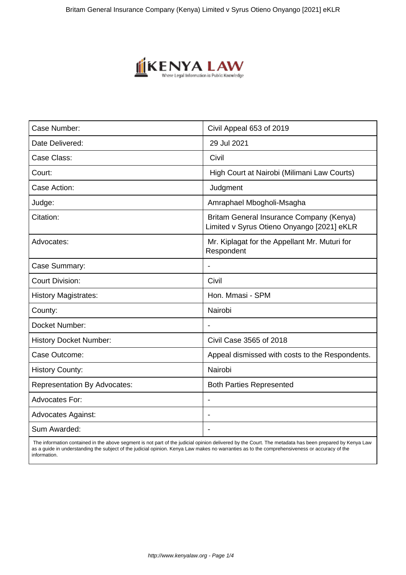

| Case Number:                        | Civil Appeal 653 of 2019                                                               |
|-------------------------------------|----------------------------------------------------------------------------------------|
| Date Delivered:                     | 29 Jul 2021                                                                            |
| Case Class:                         | Civil                                                                                  |
| Court:                              | High Court at Nairobi (Milimani Law Courts)                                            |
| Case Action:                        | Judgment                                                                               |
| Judge:                              | Amraphael Mbogholi-Msagha                                                              |
| Citation:                           | Britam General Insurance Company (Kenya)<br>Limited v Syrus Otieno Onyango [2021] eKLR |
| Advocates:                          | Mr. Kiplagat for the Appellant Mr. Muturi for<br>Respondent                            |
| Case Summary:                       | $\blacksquare$                                                                         |
| <b>Court Division:</b>              | Civil                                                                                  |
| <b>History Magistrates:</b>         | Hon. Mmasi - SPM                                                                       |
| County:                             | Nairobi                                                                                |
| Docket Number:                      | $\overline{\phantom{a}}$                                                               |
| <b>History Docket Number:</b>       | Civil Case 3565 of 2018                                                                |
| Case Outcome:                       | Appeal dismissed with costs to the Respondents.                                        |
| <b>History County:</b>              | Nairobi                                                                                |
| <b>Representation By Advocates:</b> | <b>Both Parties Represented</b>                                                        |
| <b>Advocates For:</b>               | $\blacksquare$                                                                         |
| <b>Advocates Against:</b>           |                                                                                        |
| Sum Awarded:                        | $\overline{\phantom{a}}$                                                               |

 The information contained in the above segment is not part of the judicial opinion delivered by the Court. The metadata has been prepared by Kenya Law as a guide in understanding the subject of the judicial opinion. Kenya Law makes no warranties as to the comprehensiveness or accuracy of the information.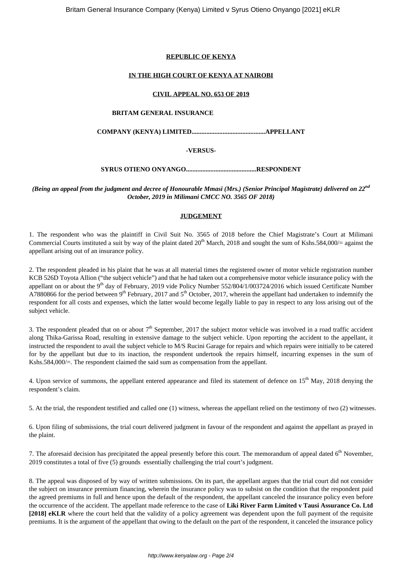# **REPUBLIC OF KENYA**

## **IN THE HIGH COURT OF KENYA AT NAIROBI**

### **CIVIL APPEAL NO. 653 OF 2019**

#### **BRITAM GENERAL INSURANCE**

**COMPANY (KENYA) LIMITED.............................................APPELLANT**

# **-VERSUS-**

# **SYRUS OTIENO ONYANGO...........................................RESPONDENT**

*(Being an appeal from the judgment and decree of Honourable Mmasi (Mrs.) (Senior Principal Magistrate) delivered on 22nd October, 2019 in Milimani CMCC NO. 3565 OF 2018)*

# **JUDGEMENT**

1. The respondent who was the plaintiff in Civil Suit No. 3565 of 2018 before the Chief Magistrate's Court at Milimani Commercial Courts instituted a suit by way of the plaint dated  $20^{th}$  March, 2018 and sought the sum of Kshs.584,000/= against the appellant arising out of an insurance policy.

2. The respondent pleaded in his plaint that he was at all material times the registered owner of motor vehicle registration number KCB 526D Toyota Allion ("the subject vehicle") and that he had taken out a comprehensive motor vehicle insurance policy with the appellant on or about the 9<sup>th</sup> day of February, 2019 vide Policy Number 552/804/1/003724/2016 which issued Certificate Number A7880866 for the period between  $9<sup>th</sup>$  February, 2017 and  $5<sup>th</sup>$  October, 2017, wherein the appellant had undertaken to indemnify the respondent for all costs and expenses, which the latter would become legally liable to pay in respect to any loss arising out of the subject vehicle.

3. The respondent pleaded that on or about  $7<sup>th</sup>$  September, 2017 the subject motor vehicle was involved in a road traffic accident along Thika-Garissa Road, resulting in extensive damage to the subject vehicle. Upon reporting the accident to the appellant, it instructed the respondent to avail the subject vehicle to M/S Rucini Garage for repairs and which repairs were initially to be catered for by the appellant but due to its inaction, the respondent undertook the repairs himself, incurring expenses in the sum of Kshs.584,000/=. The respondent claimed the said sum as compensation from the appellant.

4. Upon service of summons, the appellant entered appearance and filed its statement of defence on 15<sup>th</sup> May, 2018 denying the respondent's claim.

5. At the trial, the respondent testified and called one (1) witness, whereas the appellant relied on the testimony of two (2) witnesses.

6. Upon filing of submissions, the trial court delivered judgment in favour of the respondent and against the appellant as prayed in the plaint.

7. The aforesaid decision has precipitated the appeal presently before this court. The memorandum of appeal dated  $6<sup>th</sup>$  November, 2019 constitutes a total of five (5) grounds essentially challenging the trial court's judgment.

8. The appeal was disposed of by way of written submissions. On its part, the appellant argues that the trial court did not consider the subject on insurance premium financing, wherein the insurance policy was to subsist on the condition that the respondent paid the agreed premiums in full and hence upon the default of the respondent, the appellant canceled the insurance policy even before the occurrence of the accident. The appellant made reference to the case of **Liki River Farm Limited v Tausi Assurance Co. Ltd [2018] eKLR** where the court held that the validity of a policy agreement was dependent upon the full payment of the requisite premiums. It is the argument of the appellant that owing to the default on the part of the respondent, it canceled the insurance policy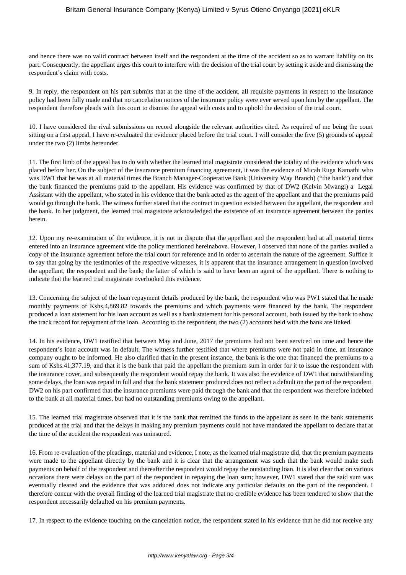and hence there was no valid contract between itself and the respondent at the time of the accident so as to warrant liability on its part. Consequently, the appellant urges this court to interfere with the decision of the trial court by setting it aside and dismissing the respondent's claim with costs.

9. In reply, the respondent on his part submits that at the time of the accident, all requisite payments in respect to the insurance policy had been fully made and that no cancelation notices of the insurance policy were ever served upon him by the appellant. The respondent therefore pleads with this court to dismiss the appeal with costs and to uphold the decision of the trial court.

10. I have considered the rival submissions on record alongside the relevant authorities cited. As required of me being the court sitting on a first appeal, I have re-evaluated the evidence placed before the trial court. I will consider the five (5) grounds of appeal under the two (2) limbs hereunder.

11. The first limb of the appeal has to do with whether the learned trial magistrate considered the totality of the evidence which was placed before her. On the subject of the insurance premium financing agreement, it was the evidence of Micah Ruga Kamathi who was DW1 that he was at all material times the Branch Manager-Cooperative Bank (University Way Branch) ("the bank") and that the bank financed the premiums paid to the appellant. His evidence was confirmed by that of DW2 (Kelvin Mwangi) a Legal Assistant with the appellant, who stated in his evidence that the bank acted as the agent of the appellant and that the premiums paid would go through the bank. The witness further stated that the contract in question existed between the appellant, the respondent and the bank. In her judgment, the learned trial magistrate acknowledged the existence of an insurance agreement between the parties herein.

12. Upon my re-examination of the evidence, it is not in dispute that the appellant and the respondent had at all material times entered into an insurance agreement vide the policy mentioned hereinabove. However, I observed that none of the parties availed a copy of the insurance agreement before the trial court for reference and in order to ascertain the nature of the agreement. Suffice it to say that going by the testimonies of the respective witnesses, it is apparent that the insurance arrangement in question involved the appellant, the respondent and the bank; the latter of which is said to have been an agent of the appellant. There is nothing to indicate that the learned trial magistrate overlooked this evidence.

13. Concerning the subject of the loan repayment details produced by the bank, the respondent who was PW1 stated that he made monthly payments of Kshs.4,869.82 towards the premiums and which payments were financed by the bank. The respondent produced a loan statement for his loan account as well as a bank statement for his personal account, both issued by the bank to show the track record for repayment of the loan. According to the respondent, the two (2) accounts held with the bank are linked.

14. In his evidence, DW1 testified that between May and June, 2017 the premiums had not been serviced on time and hence the respondent's loan account was in default. The witness further testified that where premiums were not paid in time, an insurance company ought to be informed. He also clarified that in the present instance, the bank is the one that financed the premiums to a sum of Kshs.41,377.19, and that it is the bank that paid the appellant the premium sum in order for it to issue the respondent with the insurance cover, and subsequently the respondent would repay the bank. It was also the evidence of DW1 that notwithstanding some delays, the loan was repaid in full and that the bank statement produced does not reflect a default on the part of the respondent. DW2 on his part confirmed that the insurance premiums were paid through the bank and that the respondent was therefore indebted to the bank at all material times, but had no outstanding premiums owing to the appellant.

15. The learned trial magistrate observed that it is the bank that remitted the funds to the appellant as seen in the bank statements produced at the trial and that the delays in making any premium payments could not have mandated the appellant to declare that at the time of the accident the respondent was uninsured.

16. From re-evaluation of the pleadings, material and evidence, I note, as the learned trial magistrate did, that the premium payments were made to the appellant directly by the bank and it is clear that the arrangement was such that the bank would make such payments on behalf of the respondent and thereafter the respondent would repay the outstanding loan. It is also clear that on various occasions there were delays on the part of the respondent in repaying the loan sum; however, DW1 stated that the said sum was eventually cleared and the evidence that was adduced does not indicate any particular defaults on the part of the respondent. I therefore concur with the overall finding of the learned trial magistrate that no credible evidence has been tendered to show that the respondent necessarily defaulted on his premium payments.

17. In respect to the evidence touching on the cancelation notice, the respondent stated in his evidence that he did not receive any